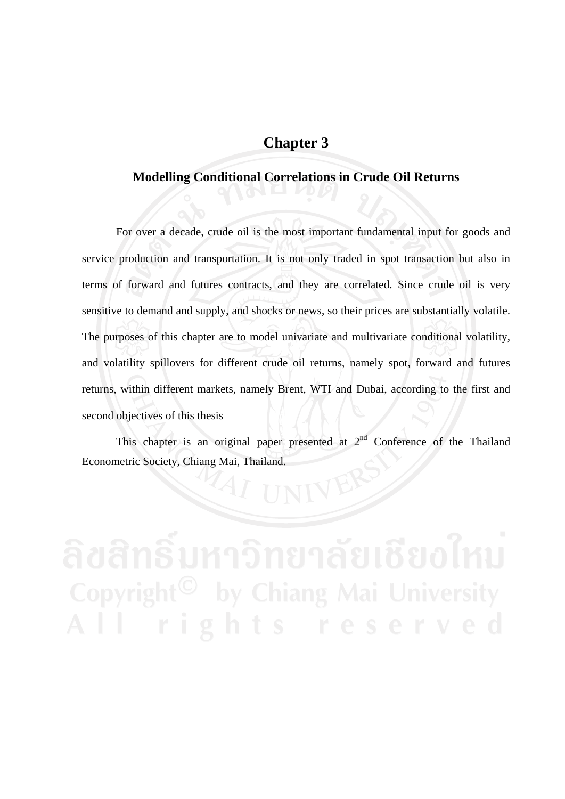## **Chapter 3**

## **Modelling Conditional Correlations in Crude Oil Returns**

 For over a decade, crude oil is the most important fundamental input for goods and service production and transportation. It is not only traded in spot transaction but also in terms of forward and futures contracts, and they are correlated. Since crude oil is very sensitive to demand and supply, and shocks or news, so their prices are substantially volatile. The purposes of this chapter are to model univariate and multivariate conditional volatility, and volatility spillovers for different crude oil returns, namely spot, forward and futures returns, within different markets, namely Brent, WTI and Dubai, according to the first and second objectives of this thesis

This chapter is an original paper presented at  $2<sup>nd</sup>$  Conference of the Thailand Econometric Society, Chiang Mai, Thailand.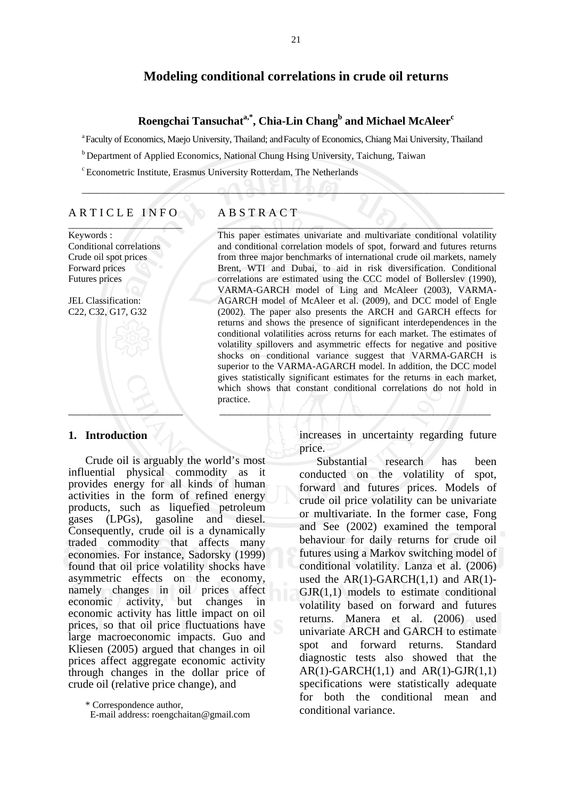### **Modeling conditional correlations in crude oil returns**

Roengchai Tansuchat<sup>a,\*</sup>, Chia-Lin Chang<sup>b</sup> and Michael McAleer<sup>c</sup>

\_\_\_\_\_\_\_\_\_\_\_\_\_\_\_\_\_\_\_\_\_\_\_\_\_\_\_\_\_\_\_\_\_\_\_\_\_\_\_\_\_\_\_\_\_\_\_\_\_\_\_\_\_\_\_\_\_\_\_\_\_\_\_\_\_\_\_\_\_\_\_\_\_\_\_\_\_\_\_\_\_

a Faculty of Economics, Maejo University, Thailand; andFaculty of Economics, Chiang Mai University, Thailand

b Department of Applied Economics, National Chung Hsing University, Taichung, Taiwan

c Econometric Institute, Erasmus University Rotterdam, The Netherlands

### ARTICLE INFO  $\overline{\phantom{a}}$

Keywords : Conditional correlations Crude oil spot prices Forward prices Futures prices

JEL Classification: C22, C32, G17, G32

# $\Box$

### **1. Introduction**

 Crude oil is arguably the world's most influential physical commodity as it provides energy for all kinds of human activities in the form of refined energy products, such as liquefied petroleum gases (LPGs), gasoline and diesel. Consequently, crude oil is a dynamically traded commodity that affects many economies. For instance, Sadorsky (1999) found that oil price volatility shocks have asymmetric effects on the economy, namely changes in oil prices affect economic activity, but changes in economic activity has little impact on oil prices, so that oil price fluctuations have large macroeconomic impacts. Guo and Kliesen (2005) argued that changes in oil prices affect aggregate economic activity through changes in the dollar price of crude oil (relative price change), and

#### A B S T R A C T  $\angle$   $\sim$  0 0  $\rightarrow$  0  $\rightarrow$  0  $\rightarrow$  0  $\rightarrow$  0  $\rightarrow$  0  $\rightarrow$  0  $\rightarrow$  0  $\rightarrow$  0  $\rightarrow$  0  $\rightarrow$  0  $\rightarrow$  0  $\rightarrow$  0  $\rightarrow$  0  $\rightarrow$  0  $\rightarrow$  0  $\rightarrow$  0  $\rightarrow$  0  $\rightarrow$  0  $\rightarrow$  0  $\rightarrow$  0  $\rightarrow$  0  $\rightarrow$  0  $\rightarrow$  0  $\rightarrow$  0  $\rightarrow$  0  $\rightarrow$  0  $\rightarrow$  0  $\rightarrow$  0  $\rightarrow$  0  $\rightarrow$

This paper estimates univariate and multivariate conditional volatility and conditional correlation models of spot, forward and futures returns from three major benchmarks of international crude oil markets, namely Brent, WTI and Dubai, to aid in risk diversification. Conditional correlations are estimated using the CCC model of Bollerslev (1990), VARMA-GARCH model of Ling and McAleer (2003), VARMA-AGARCH model of McAleer et al. (2009), and DCC model of Engle (2002). The paper also presents the ARCH and GARCH effects for returns and shows the presence of significant interdependences in the conditional volatilities across returns for each market. The estimates of volatility spillovers and asymmetric effects for negative and positive shocks on conditional variance suggest that VARMA-GARCH is superior to the VARMA-AGARCH model. In addition, the DCC model gives statistically significant estimates for the returns in each market, which shows that constant conditional correlations do not hold in practice.

> increases in uncertainty regarding future price.

 Substantial research has been conducted on the volatility of spot, forward and futures prices. Models of crude oil price volatility can be univariate or multivariate. In the former case, Fong and See (2002) examined the temporal behaviour for daily returns for crude oil futures using a Markov switching model of conditional volatility. Lanza et al. (2006) used the  $AR(1)$ -GARCH $(1,1)$  and  $AR(1)$ - $GJR(1,1)$  models to estimate conditional volatility based on forward and futures returns. Manera et al. (2006) used univariate ARCH and GARCH to estimate spot and forward returns. Standard diagnostic tests also showed that the  $AR(1)-GARCH(1,1)$  and  $AR(1)-GJR(1,1)$ specifications were statistically adequate for both the conditional mean and conditional variance.

 <sup>\*</sup> Correspondence author,

E-mail address: roengchaitan@gmail.com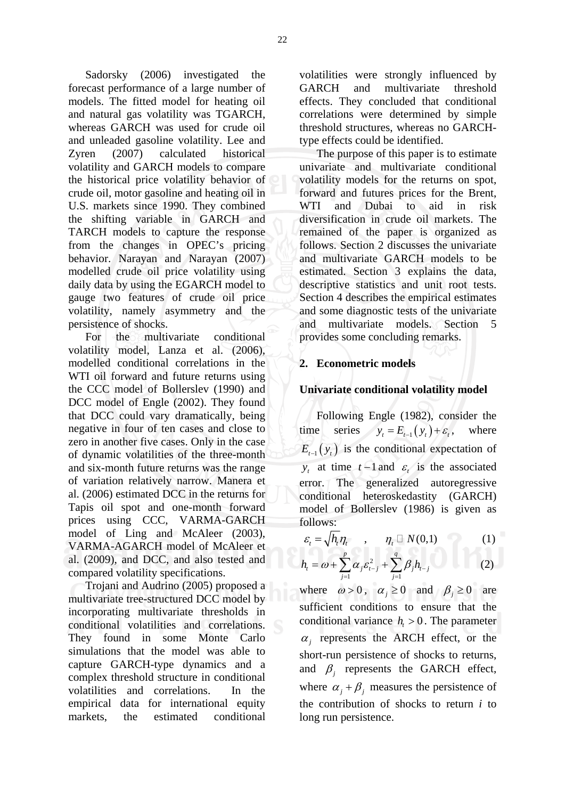Sadorsky (2006) investigated the forecast performance of a large number of models. The fitted model for heating oil and natural gas volatility was TGARCH, whereas GARCH was used for crude oil and unleaded gasoline volatility. Lee and Zyren (2007) calculated historical volatility and GARCH models to compare the historical price volatility behavior of crude oil, motor gasoline and heating oil in U.S. markets since 1990. They combined the shifting variable in GARCH and TARCH models to capture the response from the changes in OPEC's pricing behavior. Narayan and Narayan (2007) modelled crude oil price volatility using daily data by using the EGARCH model to gauge two features of crude oil price volatility, namely asymmetry and the

persistence of shocks. For the multivariate conditional volatility model, Lanza et al. (2006), modelled conditional correlations in the WTI oil forward and future returns using the CCC model of Bollerslev (1990) and DCC model of Engle (2002). They found that DCC could vary dramatically, being negative in four of ten cases and close to zero in another five cases. Only in the case of dynamic volatilities of the three-month and six-month future returns was the range of variation relatively narrow. Manera et al. (2006) estimated DCC in the returns for Tapis oil spot and one-month forward prices using CCC, VARMA-GARCH model of Ling and McAleer (2003), VARMA-AGARCH model of McAleer et al. (2009), and DCC, and also tested and compared volatility specifications.

 Trojani and Audrino (2005) proposed a multivariate tree-structured DCC model by incorporating multivariate thresholds in conditional volatilities and correlations. They found in some Monte Carlo simulations that the model was able to capture GARCH-type dynamics and a complex threshold structure in conditional volatilities and correlations. In the empirical data for international equity markets, the estimated conditional

volatilities were strongly influenced by GARCH and multivariate threshold effects. They concluded that conditional correlations were determined by simple threshold structures, whereas no GARCHtype effects could be identified.

 The purpose of this paper is to estimate univariate and multivariate conditional volatility models for the returns on spot, forward and futures prices for the Brent, WTI and Dubai to aid in risk diversification in crude oil markets. The remained of the paper is organized as follows. Section 2 discusses the univariate and multivariate GARCH models to be estimated. Section 3 explains the data, descriptive statistics and unit root tests. Section 4 describes the empirical estimates and some diagnostic tests of the univariate and multivariate models. Section 5 provides some concluding remarks.

### **2. Econometric models**

### **Univariate conditional volatility model**

 Following Engle (1982), consider the time series  $y_t = E_{t-1}(y_t) + \varepsilon_t$ , where  $E_{t-1}(y_t)$  is the conditional expectation of *y*<sub>t</sub> at time *t* −1 and  $\varepsilon$  is the associated error. The generalized autoregressive conditional heteroskedastity (GARCH) model of Bollerslev (1986) is given as follows:

$$
\varepsilon_t = \sqrt{h_t \eta_t} \qquad , \qquad \eta_t \sqcup N(0,1) \tag{1}
$$

$$
h_{t} = \omega + \sum_{j=1}^{p} \alpha_{j} \varepsilon_{t-j}^{2} + \sum_{j=1}^{q} \beta_{j} h_{t-j}
$$
 (2)

where  $\omega > 0$ ,  $\alpha_i \ge 0$  and  $\beta_i \ge 0$  are sufficient conditions to ensure that the conditional variance  $h<sub>r</sub> > 0$ . The parameter  $\alpha_i$  represents the ARCH effect, or the short-run persistence of shocks to returns, and  $\beta$  represents the GARCH effect, where  $\alpha_i + \beta_j$  measures the persistence of the contribution of shocks to return *i* to long run persistence.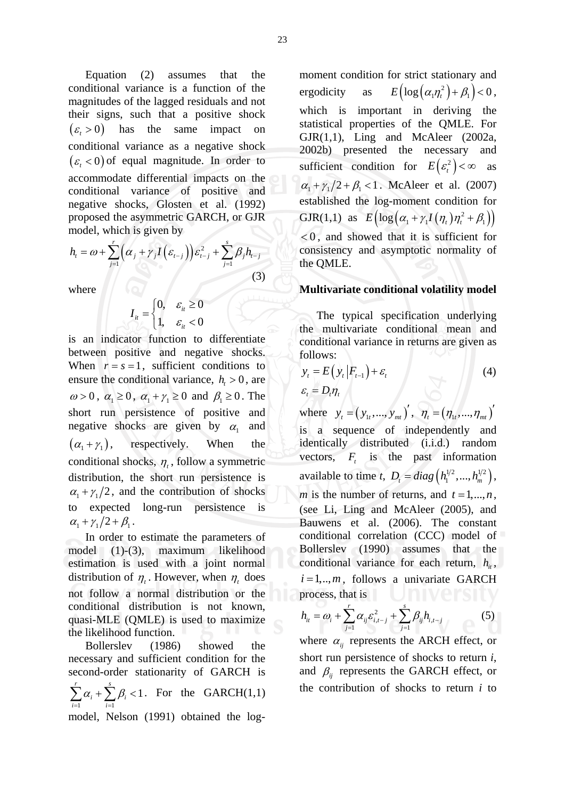Equation (2) assumes that the conditional variance is a function of the magnitudes of the lagged residuals and not their signs, such that a positive shock  $(\varepsilon, > 0)$  has the same impact on conditional variance as a negative shock  $(\varepsilon, < 0)$  of equal magnitude. In order to accommodate differential impacts on the conditional variance of positive and negative shocks, Glosten et al. (1992) proposed the asymmetric GARCH, or GJR model, which is given by

$$
h_{t} = \omega + \sum_{j=1}^{r} \left(\alpha_{j} + \gamma_{j} I\left(\varepsilon_{t-j}\right)\right) \varepsilon_{t-j}^{2} + \sum_{j=1}^{s} \beta_{j} h_{t-j}
$$
\n(3)

where  $\sqrt{2}$ 

$$
I_{it} = \begin{cases} 0, & \varepsilon_{it} \ge 0 \\ 1, & \varepsilon_{it} < 0 \end{cases}
$$

is an indicator function to differentiate between positive and negative shocks. When  $r = s = 1$ , sufficient conditions to ensure the conditional variance,  $h<sub>r</sub> > 0$ , are  $\omega > 0$ ,  $\alpha_1 \ge 0$ ,  $\alpha_1 + \gamma_1 \ge 0$  and  $\beta_1 \ge 0$ . The short run persistence of positive and negative shocks are given by  $\alpha_1$  and  $(\alpha_1 + \gamma_1)$ , respectively. When the conditional shocks,  $\eta_t$ , follow a symmetric distribution, the short run persistence is  $\alpha_1 + \gamma_1/2$ , and the contribution of shocks to expected long-run persistence is  $\alpha_1 + \gamma_1/2 + \beta_1$ .

 In order to estimate the parameters of model (1)-(3), maximum likelihood estimation is used with a joint normal distribution of  $\eta_t$ . However, when  $\eta_t$  does not follow a normal distribution or the conditional distribution is not known, quasi-MLE (QMLE) is used to maximize the likelihood function.

 Bollerslev (1986) showed the necessary and sufficient condition for the second-order stationarity of GARCH is  $i = 1$  $\sum_{i=1}^r \alpha_i + \sum_{i=1}^s \beta_i < 1$  $i$ <sup>*i*</sup>  $\angle P_i$ *i i*  $\alpha_i + \sum \beta_i$  $\sum_{i=1}^n \alpha_i + \sum_{i=1}^n \beta_i < 1$ . For the GARCH(1,1) model, Nelson (1991) obtained the log-

moment condition for strict stationary and ergodicity as  $E\left( \log \left( \alpha_1 \eta_t^2 \right) + \beta_1 \right) < 0$ , which is important in deriving the statistical properties of the QMLE. For GJR $(1,1)$ , Ling and McAleer  $(2002a,$ 2002b) presented the necessary and sufficient condition for  $E(e_i^2) < \infty$  as  $\alpha_1 + \gamma_1/2 + \beta_1 < 1$ . McAleer et al. (2007) established the log-moment condition for GJR(1,1) as  $E\left( \log \left( \alpha_1 + \gamma_1 I\left( \eta_1 \right) \eta_1^2 + \beta_1 \right) \right)$  $< 0$ , and showed that it is sufficient for consistency and asymptotic normality of the QMLE.

### **Multivariate conditional volatility model**

 The typical specification underlying the multivariate conditional mean and conditional variance in returns are given as follows:

$$
y_t = E(y_t | F_{t-1}) + \varepsilon_t
$$
  
\n
$$
\varepsilon_t = D_t \eta_t
$$
 (4)

where  $y_t = (y_{1t}, ..., y_{mt})'$ ,  $\eta_t = (\eta_{1t}, ..., \eta_{mt})'$ is a sequence of independently and identically distributed (i.i.d.) random vectors,  $F_t$  is the past information available to time *t*,  $D_t = diag(h_1^{1/2}, ..., h_m^{1/2}),$ *m* is the number of returns, and  $t = 1, \dots, n$ , (see Li, Ling and McAleer (2005), and Bauwens et al. (2006). The constant conditional correlation (CCC) model of Bollerslev (1990) assumes that the conditional variance for each return,  $h_{i}$ ,  $i = 1, \ldots, m$ , follows a univariate GARCH process, that is

$$
h_{ii} = \omega_i + \sum_{j=1}^r \alpha_{ij} \varepsilon_{i,i-j}^2 + \sum_{j=1}^s \beta_{ij} h_{i,i-j}
$$
 (5)

where  $\alpha_{ij}$  represents the ARCH effect, or short run persistence of shocks to return *i*, and  $\beta_{ii}$  represents the GARCH effect, or the contribution of shocks to return *i* to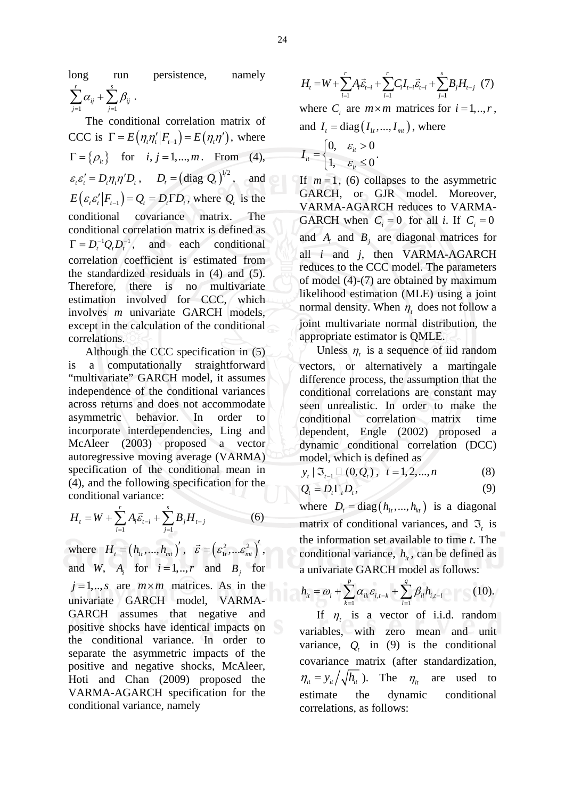long run persistence, namely  $-1$   $j=1$ *r s*  $_{ij}$   $\tau$   $\sum \mu_{ij}$  $j=1$  *j*  $\alpha_{ii} + \sum \beta_{ii}$  $\sum_{j=1} \alpha_{ij} + \sum_{j=1} \beta_{ij}$ .

 The conditional correlation matrix of CCC is  $\Gamma = E(\eta, \eta'|F_{t-1}) = E(\eta, \eta')$ , where  $\Gamma = \{ \rho_i \}$  for  $i, j = 1,..., m$ . From (4),  $\varepsilon_t \varepsilon_t' = D_t \eta_t \eta' D_t$ ,  $D_t = (\text{diag } Q_t)^{1/2}$ , and  $E(\varepsilon_{t} \varepsilon_{t}^{\prime} | F_{t-1}) = Q_{t} = D_{t} \Gamma D_{t}$ , where  $Q_{t}$  is the conditional covariance matrix. The conditional correlation matrix is defined as  $\Gamma = D^{-1}Q \cdot D^{-1}$ , and each conditional correlation coefficient is estimated from the standardized residuals in (4) and (5). Therefore, there is no multivariate estimation involved for CCC, which involves *m* univariate GARCH models, except in the calculation of the conditional correlations.

 Although the CCC specification in (5) is a computationally straightforward "multivariate" GARCH model, it assumes independence of the conditional variances across returns and does not accommodate asymmetric behavior. In order to incorporate interdependencies, Ling and McAleer (2003) proposed a vector autoregressive moving average (VARMA) specification of the conditional mean in (4), and the following specification for the conditional variance:

$$
H_{t} = W + \sum_{i=1}^{r} A_{i} \vec{\varepsilon}_{t-i} + \sum_{j=1}^{s} B_{j} H_{t-j}
$$
 (6)

where  $H_i = (h_{i_1},..., h_{m_i})^{\prime}$ ,  $\vec{\varepsilon} = (\varepsilon_{i_1}^2,...\varepsilon_{m_i}^2)^{\prime}$ , and *W*,  $A_i$  for  $i = 1, ..., r$  and  $B_i$  for  $j = 1, \ldots, s$  are  $m \times m$  matrices. As in the univariate GARCH model, VARMA-GARCH assumes that negative and positive shocks have identical impacts on the conditional variance. In order to separate the asymmetric impacts of the positive and negative shocks, McAleer, Hoti and Chan (2009) proposed the VARMA-AGARCH specification for the conditional variance, namely

$$
H_{t} = W + \sum_{i=1}^{r} A_{i} \vec{\varepsilon}_{t-i} + \sum_{i=1}^{r} C_{i} I_{t-i} \vec{\varepsilon}_{t-i} + \sum_{j=1}^{s} B_{j} H_{t-j} \tag{7}
$$

where  $C_i$  are  $m \times m$  matrices for  $i = 1, \dots, r$ , and  $I_t = \text{diag}(I_1, ..., I_{mt})$ , where

$$
I_{it} = \begin{cases} 0, & \varepsilon_{it} > 0 \\ 1, & \varepsilon_{it} \le 0 \end{cases}.
$$

If  $m=1$ , (6) collapses to the asymmetric GARCH, or GJR model. Moreover, VARMA-AGARCH reduces to VARMA-GARCH when  $C_i = 0$  for all *i*. If  $C_i = 0$ and  $A_i$  and  $B_j$  are diagonal matrices for all *i* and *j*, then VARMA-AGARCH reduces to the CCC model. The parameters of model (4)-(7) are obtained by maximum likelihood estimation (MLE) using a joint normal density. When  $\eta$  does not follow a joint multivariate normal distribution, the appropriate estimator is QMLE.

Unless  $\eta$ , is a sequence of iid random vectors, or alternatively a martingale difference process, the assumption that the conditional correlations are constant may seen unrealistic. In order to make the conditional correlation matrix time dependent, Engle (2002) proposed a dynamic conditional correlation (DCC) model, which is defined as

 $y_t | \mathfrak{I}_{t-1} \sqcup (0, Q_t), t = 1, 2, ..., n$  (8)

$$
Q_t = D_t \Gamma_t D_t, \qquad (9)
$$

where  $D_t = \text{diag}(h_t, ..., h_{t_t})$  is a diagonal matrix of conditional variances, and  $\Im$ , is the information set available to time *t*. The conditional variance,  $h_{i}$ , can be defined as a univariate GARCH model as follows:

$$
h_{ii} = \omega_i + \sum_{k=1}^p \alpha_{ik} \varepsilon_{i,t-k} + \sum_{l=1}^q \beta_{il} h_{i,t-l}
$$
 (10).

If  $\eta_t$  is a vector of i.i.d. random variables, with zero mean and unit variance,  $Q_t$  in (9) is the conditional covariance matrix (after standardization,  $\eta_i = y_i / \sqrt{h_i}$ ). The  $\eta_i$  are used to estimate the dynamic conditional correlations, as follows: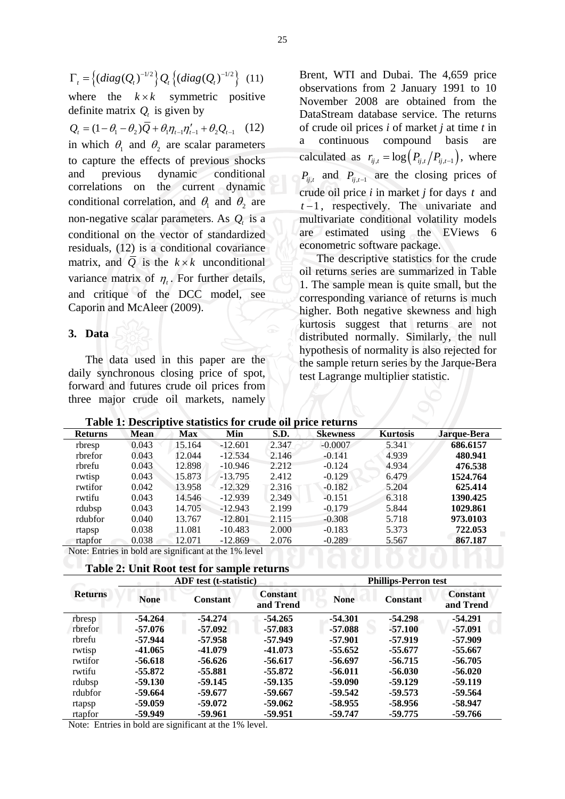$\Gamma_t = \left\{ (diag(Q_t)^{-1/2} \right\} Q_t \left\{ (diag(Q_t)^{-1/2} \right\} (11)$ 

where the  $k \times k$  symmetric positive definite matrix  $Q_i$  is given by

 $Q_t = (1 - \theta_1 - \theta_2) \overline{Q} + \theta_1 \eta_{t-1} \eta'_{t-1} + \theta_2 Q_{t-1}$  (12) in which  $\theta_1$  and  $\theta_2$  are scalar parameters to capture the effects of previous shocks and previous dynamic conditional correlations on the current dynamic conditional correlation, and  $\theta_1$  and  $\theta_2$  are non-negative scalar parameters. As  $Q_t$  is a conditional on the vector of standardized residuals, (12) is a conditional covariance matrix, and  $\overline{Q}$  is the  $k \times k$  unconditional variance matrix of  $\eta_t$ . For further details, and critique of the DCC model, see Caporin and McAleer (2009).

### **3. Data**

 The data used in this paper are the daily synchronous closing price of spot, forward and futures crude oil prices from three major crude oil markets, namely

Brent, WTI and Dubai. The 4,659 price observations from 2 January 1991 to 10 November 2008 are obtained from the DataStream database service. The returns of crude oil prices *i* of market *j* at time *t* in continuous compound basis calculated as  $r_{ij,t} = \log(P_{ij,t}/P_{ij,t-1})$ , where  $P_{ij,t}$  and  $P_{ij,t-1}$  are the closing prices of crude oil price *i* in market *j* for days *t* and *t* −1, respectively. The univariate and multivariate conditional volatility models are estimated using the EViews 6 econometric software package.

 The descriptive statistics for the crude oil returns series are summarized in Table 1. The sample mean is quite small, but the corresponding variance of returns is much higher. Both negative skewness and high kurtosis suggest that returns are not distributed normally. Similarly, the null hypothesis of normality is also rejected for the sample return series by the Jarque-Bera test Lagrange multiplier statistic.

**Table 1: Descriptive statistics for crude oil price returns** 

| <b>Returns</b> | <b>Mean</b> | <b>Max</b> | Min       | S.D.  | <b>Skewness</b> | <b>Kurtosis</b> | Jarque-Bera |
|----------------|-------------|------------|-----------|-------|-----------------|-----------------|-------------|
| rbresp         | 0.043       | 15.164     | $-12.601$ | 2.347 | $-0.0007$       | 5.341           | 686.6157    |
| rbrefor        | 0.043       | 12.044     | $-12.534$ | 2.146 | $-0.141$        | 4.939           | 480.941     |
| rbrefu         | 0.043       | 12.898     | $-10.946$ | 2.212 | $-0.124$        | 4.934           | 476.538     |
| rwtisp         | 0.043       | 15.873     | $-13.795$ | 2.412 | $-0.129$        | 6.479           | 1524.764    |
| rwtifor        | 0.042       | 13.958     | $-12.329$ | 2.316 | $-0.182$        | 5.204           | 625.414     |
| rwtifu         | 0.043       | 14.546     | $-12.939$ | 2.349 | $-0.151$        | 6.318           | 1390.425    |
| rdubsp         | 0.043       | 14.705     | $-12.943$ | 2.199 | $-0.179$        | 5.844           | 1029.861    |
| rdubfor        | 0.040       | 13.767     | $-12.801$ | 2.115 | $-0.308$        | 5.718           | 973.0103    |
| rtapsp         | 0.038       | 11.081     | $-10.483$ | 2.000 | $-0.183$        | 5.373           | 722.053     |
| rtapfor        | 0.038       | 12.071     | $-12.869$ | 2.076 | $-0.289$        | 5.567           | 867.187     |

Note: Entries in bold are significant at the 1% level

|  | Table 2: Unit Root test for sample returns |  |  |
|--|--------------------------------------------|--|--|
|  |                                            |  |  |

|                |             | <b>ADF</b> test (t-statistic) |                              |             | <b>Phillips-Perron test</b> |                              |
|----------------|-------------|-------------------------------|------------------------------|-------------|-----------------------------|------------------------------|
| <b>Returns</b> | <b>None</b> | <b>Constant</b>               | <b>Constant</b><br>and Trend | <b>None</b> | <b>Constant</b>             | <b>Constant</b><br>and Trend |
| rbresp         | $-54.264$   | $-54.274$                     | $-54.265$                    | $-54.301$   | $-54.298$                   | $-54.291$                    |
| rbrefor        | -57.076     | -57.092                       | $-57.083$                    | -57.088     | $-57.100$                   | $-57.091$                    |
| rbrefu         | -57.944     | -57.958                       | -57.949                      | -57.901     | -57.919                     | -57.909                      |
| rwtisp         | $-41.065$   | $-41.079$                     | $-41.073$                    | $-55.652$   | -55.677                     | $-55.667$                    |
| rwtifor        | $-56.618$   | $-56.626$                     | $-56.617$                    | $-56.697$   | $-56.715$                   | $-56.705$                    |
| rwtifu         | $-55.872$   | $-55.881$                     | $-55.872$                    | $-56.011$   | $-56.030$                   | $-56.020$                    |
| rdubsp         | $-59.130$   | -59.145                       | -59.135                      | -59.090     | $-59.129$                   | -59.119                      |
| rdubfor        | -59.664     | -59.677                       | -59.667                      | $-59.542$   | $-59.573$                   | $-59.564$                    |
| rtapsp         | $-59.059$   | -59.072                       | -59.062                      | $-58.955$   | -58.956                     | $-58.947$                    |
| rtapfor        | $-59.949$   | -59.961                       | $-59.951$                    | $-59.747$   | $-59.775$                   | $-59.766$                    |

Note: Entries in bold are significant at the 1% level.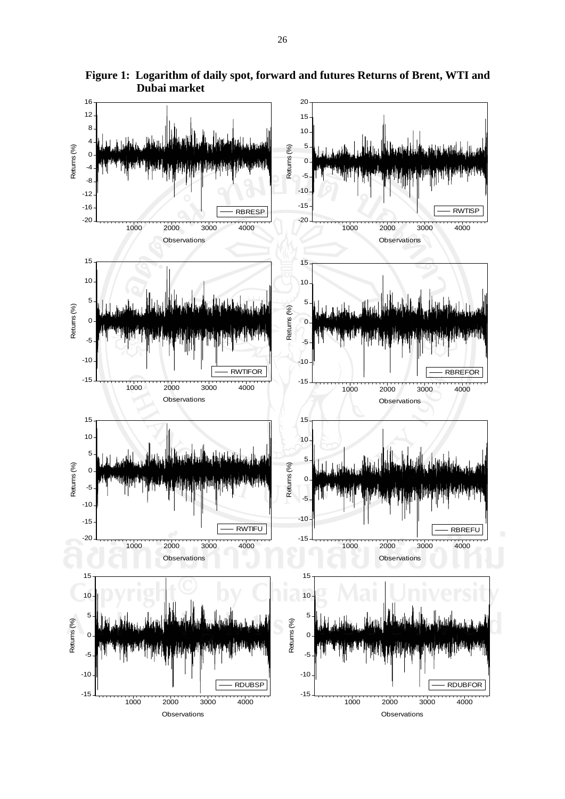

**Figure 1: Logarithm of daily spot, forward and futures Returns of Brent, WTI and Dubai market**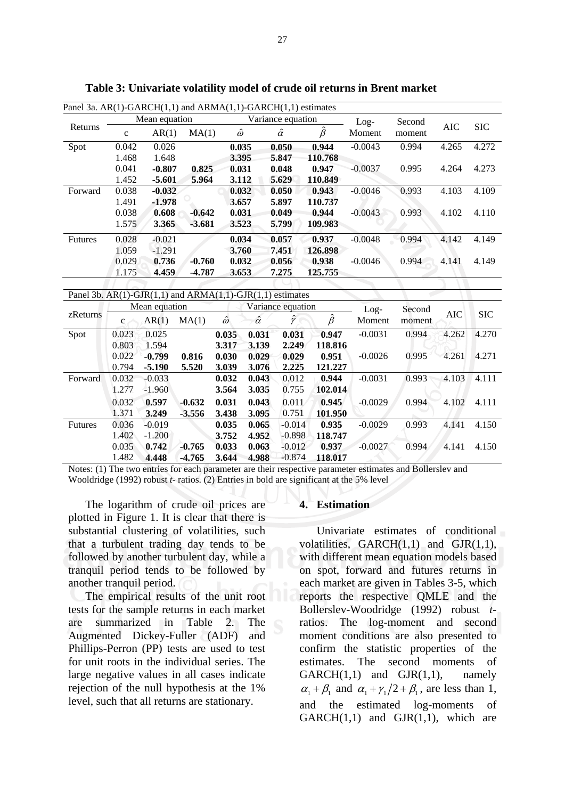| Panel 3a. $AR(1)-GARCH(1,1)$ and $ARMA(1,1)-GARCH(1,1)$ estimates |             |               |          |                |                |                   |               |           |        |            |            |
|-------------------------------------------------------------------|-------------|---------------|----------|----------------|----------------|-------------------|---------------|-----------|--------|------------|------------|
|                                                                   |             | Mean equation |          |                |                | Variance equation |               | $Log-$    | Second |            |            |
| Returns                                                           | $\mathbf c$ | AR(1)         | MA(1)    | $\hat{\omega}$ |                | $\hat{\alpha}$    | $\hat{\beta}$ | Moment    | moment | <b>AIC</b> | <b>SIC</b> |
| Spot                                                              | 0.042       | 0.026         |          | 0.035          |                | 0.050             | 0.944         | $-0.0043$ | 0.994  | 4.265      | 4.272      |
|                                                                   | 1.468       | 1.648         |          | 3.395          |                | 5.847             | 110.768       |           |        |            |            |
|                                                                   | 0.041       | $-0.807$      | 0.825    | 0.031          |                | 0.048             | 0.947         | $-0.0037$ | 0.995  | 4.264      | 4.273      |
|                                                                   | 1.452       | -5.601        | 5.964    | 3.112          |                | 5.629             | 110.849       |           |        |            |            |
| Forward                                                           | 0.038       | $-0.032$      |          | 0.032          |                | 0.050             | 0.943         | $-0.0046$ | 0.993  | 4.103      | 4.109      |
|                                                                   | 1.491       | -1.978        |          | 3.657          |                | 5.897             | 110.737       |           |        |            |            |
|                                                                   | 0.038       | 0.608         | $-0.642$ | 0.031          |                | 0.049             | 0.944         | $-0.0043$ | 0.993  | 4.102      | 4.110      |
|                                                                   | 1.575       | 3.365         | $-3.681$ | 3.523          |                | 5.799             | 109.983       |           |        |            |            |
| <b>Futures</b>                                                    | 0.028       | $-0.021$      |          | 0.034          |                | 0.057             | 0.937         | $-0.0048$ | 0.994  | 4.142      | 4.149      |
|                                                                   | 1.059       | $-1.291$      |          | 3.760          |                | 7.451             | 126.898       |           |        |            |            |
|                                                                   | 0.029       | 0.736         | $-0.760$ | 0.032          |                | 0.056             | 0.938         | $-0.0046$ | 0.994  | 4.141      | 4.149      |
|                                                                   | 1.175       | 4.459         | -4.787   | 3.653          |                | 7.275             | 125.755       |           |        |            |            |
|                                                                   |             |               |          |                |                |                   |               |           |        |            |            |
| Panel 3b. $AR(1)-GJR(1,1)$ and $ARMA(1,1)-GJR(1,1)$ estimates     |             |               |          |                |                |                   |               |           |        |            |            |
|                                                                   |             | Mean equation |          |                |                | Variance equation |               | $Log-$    | Second |            |            |
| zReturns                                                          | $\mathbf c$ | AR(1)         | MA(1)    | $\hat{\omega}$ | $\hat{\alpha}$ | Ŷ                 | $\hat{\beta}$ | Moment    | moment | AIC        | <b>SIC</b> |
| Spot                                                              | 0.023       | 0.025         |          | 0.035          | 0.031          | 0.031             | 0.947         | $-0.0031$ | 0.994  | 4.262      | 4.270      |
|                                                                   | 0.803       | 1.594         |          | 3.317          | 3.139          | 2.249             | 118.816       |           |        |            |            |
|                                                                   | 0.022       | $-0.799$      | 0.816    | 0.030          | 0.029          | 0.029             | 0.951         | $-0.0026$ | 0.995  | 4.261      | 4.271      |
|                                                                   | 0.794       | -5.190        | 5.520    | 3.039          | 3.076          | 2.225             | 121.227       |           |        |            |            |

**Table 3: Univariate volatility model of crude oil returns in Brent market** 

Notes: (1) The two entries for each parameter are their respective parameter estimates and Bollerslev and Wooldridge (1992) robust *t*- ratios. (2) Entries in bold are significant at the 5% level

**0.043 3.035** 

**0.043 3.095** 

**0.065 4.952** 

**0.063 4.988**  0.012 0.755

0.011 0.751

-0.014 -0.898

-0.012 -0.874

**0.032 3.564** 

**0.031 3.438** 

**0.035 3.752** 

**0.033 3.644** 

 The logarithm of crude oil prices are plotted in Figure 1. It is clear that there is substantial clustering of volatilities, such that a turbulent trading day tends to be followed by another turbulent day, while a tranquil period tends to be followed by another tranquil period.

Forward 0.032

Futures 0.036

1.277

 0.032 1.371

1.402

 0.035 1.482 -0.033 -1.960

**0.597 3.249** 

-0.019 -1.200

**0.742 4.448**  **-0.632 -3.556** 

**-0.765 -4.765** 

 The empirical results of the unit root tests for the sample returns in each market<br>are summarized in Table 2. The are summarized in Table 2. Augmented Dickey-Fuller (ADF) and Phillips-Perron (PP) tests are used to test for unit roots in the individual series. The large negative values in all cases indicate rejection of the null hypothesis at the 1% level, such that all returns are stationary.

#### **4. Estimation**

**0.944 102.014** 

**0.945 101.950** 

**0.935 118.747** 

**0.937 118.017** 

Univariate estimates of conditional volatilities,  $GARCH(1,1)$  and  $GJR(1,1)$ , with different mean equation models based on spot, forward and futures returns in each market are given in Tables 3-5, which reports the respective QMLE and the Bollerslev-Woodridge (1992) robust *t*ratios. The log-moment and second moment conditions are also presented to confirm the statistic properties of the estimates. The second moments of  $GARCH(1,1)$  and  $GJR(1,1)$ , namely  $\alpha_1 + \beta_1$  and  $\alpha_1 + \gamma_1/2 + \beta_1$ , are less than 1, and the estimated log-moments of  $GARCH(1,1)$  and  $GJR(1,1)$ , which are

 $-0.0031$   $0.993$   $4.103$   $4.111$ 

-0.0029 0.994 4.102 4.111

-0.0029 0.993 4.141 4.150

-0.0027 0.994 4.141 4.150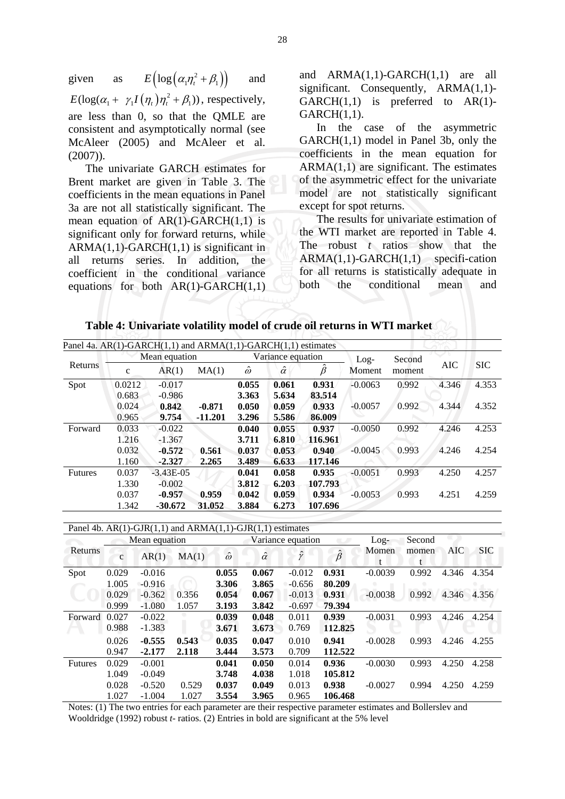given as  $E\left( \log \left( \alpha_1 \eta_t^2 + \beta_1 \right) \right)$  and  $E(\log(\alpha_1 + \gamma_1 I(\eta_t)) \eta_t^2 + \beta_1)$ , respectively, are less than 0, so that the QMLE are consistent and asymptotically normal (see McAleer (2005) and McAleer et al. (2007)).

 The univariate GARCH estimates for Brent market are given in Table 3. The coefficients in the mean equations in Panel 3a are not all statistically significant. The mean equation of  $AR(1)-GARCH(1,1)$  is significant only for forward returns, while  $ARMA(1,1)-GARCH(1,1)$  is significant in all returns series. In addition, the coefficient in the conditional variance equations for both  $AR(1)-GARCH(1,1)$ 

and ARMA(1,1)-GARCH(1,1) are all significant. Consequently, ARMA(1,1)- $GARCH(1,1)$  is preferred to  $AR(1)$ -GARCH(1,1).

 In the case of the asymmetric GARCH(1,1) model in Panel 3b, only the coefficients in the mean equation for  $ARMA(1,1)$  are significant. The estimates of the asymmetric effect for the univariate model are not statistically significant except for spot returns.

 The results for univariate estimation of the WTI market are reported in Table 4. The robust *t* ratios show that the  $ARMA(1,1)-GARCH(1,1)$  specifi-cation for all returns is statistically adequate in both the conditional mean and

|  |  |  |  |  |  |  |  |  | Table 4: Univariate volatility model of crude oil returns in WTI market |  |  |  |
|--|--|--|--|--|--|--|--|--|-------------------------------------------------------------------------|--|--|--|
|  |  |  |  |  |  |  |  |  |                                                                         |  |  |  |

| Panel 4a. $AR(1)-GARCH(1,1)$ and $ARMA(1,1)-GARCH(1,1)$ estimates |        |               |           |                |                   |               |           |        |            |            |
|-------------------------------------------------------------------|--------|---------------|-----------|----------------|-------------------|---------------|-----------|--------|------------|------------|
|                                                                   |        | Mean equation |           |                | Variance equation |               | $Log-$    | Second |            | <b>SIC</b> |
| Returns                                                           | c      | AR(1)         | MA(1)     | $\hat{\omega}$ | $\hat{\alpha}$    | $\hat{\beta}$ | Moment    | moment | <b>AIC</b> |            |
| Spot                                                              | 0.0212 | $-0.017$      |           | 0.055          | 0.061             | 0.931         | $-0.0063$ | 0.992  | 4.346      | 4.353      |
|                                                                   | 0.683  | $-0.986$      |           | 3.363          | 5.634             | 83.514        |           |        |            |            |
|                                                                   | 0.024  | 0.842         | $-0.871$  | 0.050          | 0.059             | 0.933         | $-0.0057$ | 0.992  | 4.344      | 4.352      |
|                                                                   | 0.965  | 9.754         | $-11.201$ | 3.296          | 5.586             | 86.009        |           |        |            |            |
| Forward                                                           | 0.033  | $-0.022$      |           | 0.040          | 0.055             | 0.937         | $-0.0050$ | 0.992  | 4.246      | 4.253      |
|                                                                   | 1.216  | $-1.367$      |           | 3.711          | 6.810             | 116.961       |           |        |            |            |
|                                                                   | 0.032  | $-0.572$      | 0.561     | 0.037          | 0.053             | 0.940         | $-0.0045$ | 0.993  | 4.246      | 4.254      |
|                                                                   | 1.160  | $-2.327$      | 2.265     | 3.489          | 6.633             | 117.146       |           |        |            |            |
| <b>Futures</b>                                                    | 0.037  | $-3.43E-05$   |           | 0.041          | 0.058             | 0.935         | $-0.0051$ | 0.993  | 4.250      | 4.257      |
|                                                                   | 1.330  | $-0.002$      |           | 3.812          | 6.203             | 107.793       |           |        |            |            |
|                                                                   | 0.037  | $-0.957$      | 0.959     | 0.042          | 0.059             | 0.934         | $-0.0053$ | 0.993  | 4.251      | 4.259      |
|                                                                   | 1.342  | $-30.672$     | 31.052    | 3.884          | 6.273             | 107.696       |           |        |            |            |

|                |              |               | Panel 4b. $AR(1)-GJR(1,1)$ and $ARMA(1,1)-GJR(1,1)$ estimates |                |                |                   |               |           |        |       |            |
|----------------|--------------|---------------|---------------------------------------------------------------|----------------|----------------|-------------------|---------------|-----------|--------|-------|------------|
|                |              | Mean equation |                                                               |                |                | Variance equation |               | $Log-$    | Second |       |            |
| Returns        |              | AR(1)         | MA(1)                                                         | $\hat{\omega}$ | $\hat{\alpha}$ | ŷ                 | $\hat{\beta}$ | Momen     | momen  | AIC   | <b>SIC</b> |
|                | $\mathbf{C}$ |               |                                                               |                |                |                   |               | t         |        |       |            |
| Spot           | 0.029        | $-0.016$      |                                                               | 0.055          | 0.067          | $-0.012$          | 0.931         | $-0.0039$ | 0.992  | 4.346 | 4.354      |
|                | 1.005        | $-0.916$      |                                                               | 3.306          | 3.865          | $-0.656$          | 80.209        |           |        |       |            |
|                | 0.029        | $-0.362$      | 0.356                                                         | 0.054          | 0.067          | $-0.013$          | 0.931         | $-0.0038$ | 0.992  | 4.346 | 4.356      |
|                | 0.999        | $-1.080$      | 1.057                                                         | 3.193          | 3.842          | $-0.697$          | 79.394        |           |        |       |            |
| Forward        | 0.027        | $-0.022$      |                                                               | 0.039          | 0.048          | 0.011             | 0.939         | $-0.0031$ | 0.993  | 4.246 | 4.254      |
|                | 0.988        | $-1.383$      |                                                               | 3.671          | 3.673          | 0.769             | 112.825       |           |        |       |            |
|                | 0.026        | $-0.555$      | 0.543                                                         | 0.035          | 0.047          | 0.010             | 0.941         | $-0.0028$ | 0.993  | 4.246 | 4.255      |
|                | 0.947        | $-2.177$      | 2.118                                                         | 3.444          | 3.573          | 0.709             | 112.522       |           |        |       |            |
| <b>Futures</b> | 0.029        | $-0.001$      |                                                               | 0.041          | 0.050          | 0.014             | 0.936         | $-0.0030$ | 0.993  | 4.250 | 4.258      |
|                | 1.049        | $-0.049$      |                                                               | 3.748          | 4.038          | 1.018             | 105.812       |           |        |       |            |
|                | 0.028        | $-0.520$      | 0.529                                                         | 0.037          | 0.049          | 0.013             | 0.938         | $-0.0027$ | 0.994  | 4.250 | 4.259      |
|                | 1.027        | $-1.004$      | 1.027                                                         | 3.554          | 3.965          | 0.965             | 106.468       |           |        |       |            |

Notes: (1) The two entries for each parameter are their respective parameter estimates and Bollerslev and Wooldridge (1992) robust *t*- ratios. (2) Entries in bold are significant at the 5% level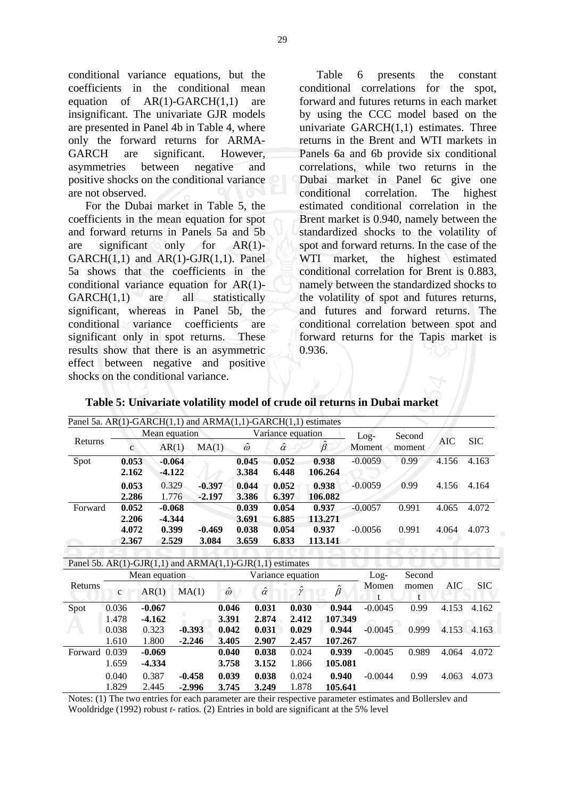conditional variance equations, but the coefficients in the conditional mean equation of AR(1)-GARCH(1,1) are insignificant. The univariate GJR models are presented in Panel 4b in Table 4, where only the forward returns for ARMA-GARCH are significant. However, asymmetries between negative and positive shocks on the conditional variance are not observed.

 For the Dubai market in Table 5, the coefficients in the mean equation for spot and forward returns in Panels 5a and 5b are significant only for AR(1)-  $GARCH(1,1)$  and  $AR(1)-GJR(1,1)$ . Panel 5a shows that the coefficients in the conditional variance equation for AR(1)-  $GARCH(1,1)$  are all statistically significant, whereas in Panel 5b, the conditional variance coefficients are significant only in spot returns. These results show that there is an asymmetric effect between negative and positive shocks on the conditional variance.

 Table 6 presents the constant conditional correlations for the spot, forward and futures returns in each market by using the CCC model based on the univariate GARCH(1,1) estimates. Three returns in the Brent and WTI markets in Panels 6a and 6b provide six conditional correlations, while two returns in the Dubai market in Panel 6c give one conditional correlation. The highest estimated conditional correlation in the Brent market is 0.940, namely between the standardized shocks to the volatility of spot and forward returns. In the case of the WTI market, the highest estimated conditional correlation for Brent is 0.883, namely between the standardized shocks to the volatility of spot and futures returns, and futures and forward returns. The conditional correlation between spot and forward returns for the Tapis market is 0.936.

| Table 5: Univariate volatility model of crude oil returns in Dubai market |
|---------------------------------------------------------------------------|
|---------------------------------------------------------------------------|

|         |                |                        | Panel 5a. AR(1)-GARCH(1,1) and ARMA(1,1)-GARCH(1,1) estimates |                |                |                                     |                |                  |                |                       |            |             |
|---------|----------------|------------------------|---------------------------------------------------------------|----------------|----------------|-------------------------------------|----------------|------------------|----------------|-----------------------|------------|-------------|
| Returns | $\mathbf{C}$   | Mean equation<br>AR(1) | MA(1)                                                         |                | ŵ              | Variance equation<br>$\hat{\alpha}$ |                | $\hat{\beta}$    | Log-<br>Moment | Second<br>moment      | <b>AIC</b> | <b>SIC</b>  |
| Spot    | 0.053<br>2.162 | $-0.064$<br>$-4.122$   |                                                               |                | 0.045<br>3.384 | 0.052<br>6.448                      |                | 0.938<br>106.264 | $-0.0059$      | 0.99                  | 4.156      | 4.163       |
|         | 0.053<br>2.286 | 0.329<br>1.776         | $-0.397$<br>$-2.197$                                          |                | 0.044<br>3.386 | 0.052<br>6.397                      |                | 0.938<br>106.082 | $-0.0059$      | 0.99                  | 4.156      | 4.164       |
| Forward | 0.052<br>2.206 | $-0.068$<br>$-4.344$   |                                                               |                | 0.039<br>3.691 | 0.054<br>6.885                      |                | 0.937<br>113.271 | $-0.0057$      | 0.991                 | 4.065      | 4.072       |
|         | 4.072<br>2.367 | 0.399<br>2.529         | $-0.469$<br>3.084                                             |                | 0.038<br>3.659 | 0.054<br>6.833                      |                | 0.937<br>113.141 | $-0.0056$      | 0.991                 | 4.064      | 4.073       |
|         |                |                        | Panel 5b. $AR(1)-GJR(1,1)$ and $ARMA(1,1)-GJR(1,1)$ estimates |                |                |                                     |                |                  |                |                       |            |             |
|         |                | Mean equation          |                                                               |                |                | Variance equation                   |                |                  | $Log-$         | Second                |            |             |
| Returns | $\mathbf{c}$   | AR(1)                  | MA(1)                                                         | $\hat{\omega}$ |                | $\hat{\alpha}$                      | Ŷ              | $\hat{\beta}$    | Momen<br>t     | momen<br>$\mathbf{f}$ | AIC        | <b>SIC</b>  |
| Spot    | 0.036<br>1.478 | $-0.067$<br>$-4.162$   |                                                               | 0.046<br>3.391 |                | 0.031<br>2.874                      | 0.030<br>2.412 | 0.944<br>107.349 | $-0.0045$      | 0.99                  | 4.153      | 4.162       |
|         | 0.038<br>1.610 | 0.323<br>1.800         | $-0.393$<br>$-2.246$                                          | 0.042<br>3.405 |                | 0.031<br>2.907                      | 0.029<br>2.457 | 0.944<br>107.267 | $-0.0045$      | 0.999                 |            | 4.153 4.163 |
| Forward | 0.039          | $-0.069$               |                                                               | 0.040          |                | 0.038                               | 0.024          | 0.939            | $-0.0045$      | 0.989                 | 4.064      | 4.072       |
|         | 1.659<br>0.040 | $-4.334$<br>0.387      | $-0.458$                                                      | 3.758<br>0.039 |                | 3.152<br>0.038                      | 1.866<br>0.024 | 105.081<br>0.940 | $-0.0044$      | 0.99                  | 4.063      | 4.073       |
|         | 1.829          | 2.445                  | $-2.996$                                                      | 3.745          |                | 3.249                               | 1.878          | 105.641          |                |                       |            |             |

Notes: (1) The two entries for each parameter are their respective parameter estimates and Bollerslev and Wooldridge (1992) robust *t*- ratios. (2) Entries in bold are significant at the 5% level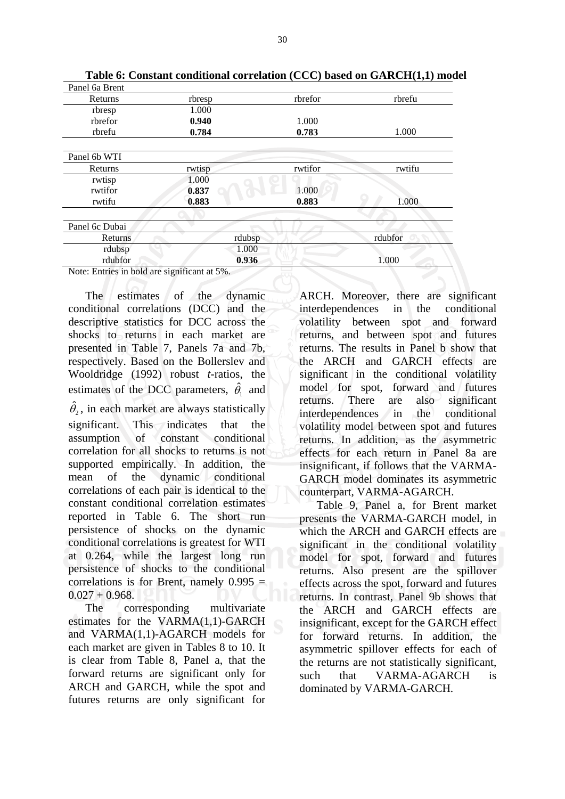| Panel 6a Brent                               |        |         |         |
|----------------------------------------------|--------|---------|---------|
| Returns                                      | rbresp | rbrefor | rbrefu  |
| rbresp                                       | 1.000  |         |         |
| rbrefor                                      | 0.940  | 1.000   |         |
| rbrefu                                       | 0.784  | 0.783   | 1.000   |
| Panel 6b WTI                                 |        |         |         |
| Returns                                      | rwtisp | rwtifor | rwtifu  |
| rwtisp                                       | 1.000  |         |         |
| rwtifor                                      | 0.837  | 1.000   |         |
| rwtifu                                       | 0.883  | 0.883   | 1.000   |
| Panel 6c Dubai                               |        |         |         |
| Returns                                      |        | rdubsp  | rdubfor |
| rdubsp                                       |        | 1.000   |         |
| rdubfor                                      |        | 0.936   | 1.000   |
| Note: Entries in bold are significant at 5%. |        |         |         |

**Table 6: Constant conditional correlation (CCC) based on GARCH(1,1) model** 

Note: Entries in bold are significant at 5%.

 The estimates of the dynamic conditional correlations (DCC) and the descriptive statistics for DCC across the shocks to returns in each market are presented in Table 7, Panels 7a and 7b, respectively. Based on the Bollerslev and Wooldridge (1992) robust *t*-ratios, the estimates of the DCC parameters,  $\hat{\theta}_1$  and

 $\hat{\theta}_2$ , in each market are always statistically significant. This indicates that the assumption of constant conditional correlation for all shocks to returns is not supported empirically. In addition, the mean of the dynamic conditional correlations of each pair is identical to the constant conditional correlation estimates reported in Table 6. The short run persistence of shocks on the dynamic conditional correlations is greatest for WTI at 0.264, while the largest long run persistence of shocks to the conditional correlations is for Brent, namely 0.995 =  $0.027 + 0.968$ .

The corresponding multivariate estimates for the VARMA(1,1)-GARCH and VARMA(1,1)-AGARCH models for each market are given in Tables 8 to 10. It is clear from Table 8, Panel a, that the forward returns are significant only for ARCH and GARCH, while the spot and futures returns are only significant for

ARCH. Moreover, there are significant interdependences in the conditional volatility between spot and forward returns, and between spot and futures returns. The results in Panel b show that the ARCH and GARCH effects are significant in the conditional volatility model for spot, forward and futures returns. There are also significant interdependences in the conditional volatility model between spot and futures returns. In addition, as the asymmetric effects for each return in Panel 8a are insignificant, if follows that the VARMA-GARCH model dominates its asymmetric counterpart, VARMA-AGARCH.

 Table 9, Panel a, for Brent market presents the VARMA-GARCH model, in which the ARCH and GARCH effects are significant in the conditional volatility model for spot, forward and futures returns. Also present are the spillover effects across the spot, forward and futures returns. In contrast, Panel 9b shows that the ARCH and GARCH effects are insignificant, except for the GARCH effect for forward returns. In addition, the asymmetric spillover effects for each of the returns are not statistically significant, such that VARMA-AGARCH is dominated by VARMA-GARCH.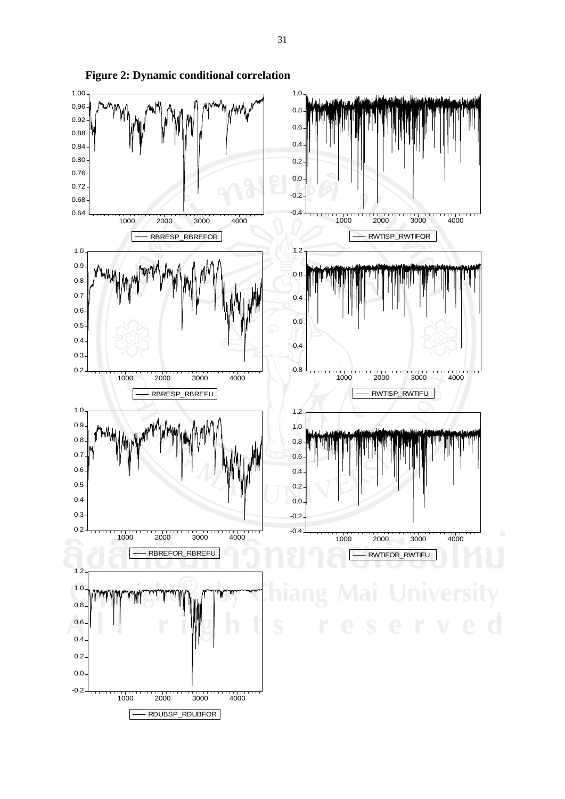

**Figure 2: Dynamic conditional correlation**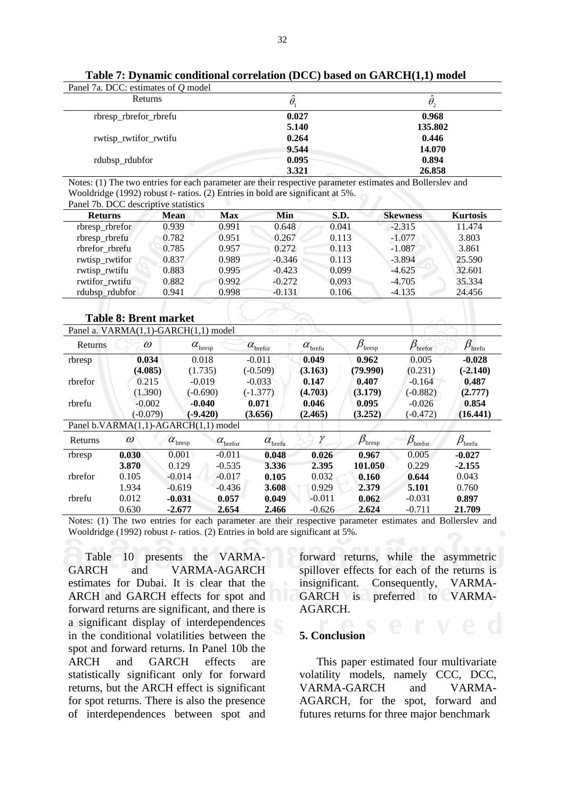| Panel 7a. DCC: estimates of Q model |          |                   |
|-------------------------------------|----------|-------------------|
| Returns                             | $\theta$ | $\theta_{\gamma}$ |
| rbresp_rbrefor_rbrefu               | 0.027    | 0.968             |
|                                     | 5.140    | 135.802           |
| rwtisp_rwtifor_rwtifu               | 0.264    | 0.446             |
|                                     | 9.544    | 14.070            |
| rdubsp_rdubfor                      | 0.095    | 0.894             |
|                                     | 3.321    | 26.858            |

**Table 7: Dynamic conditional correlation (DCC) based on GARCH(1,1) model** 

Notes: (1) The two entries for each parameter are their respective parameter estimates and Bollerslev and Wooldridge (1992) robust *t*- ratios. (2) Entries in bold are significant at 5%. Panel 7b. DCC descriptive statistics

| I and To. Due abscribute statistics |             |            |          |       |                 |                 |
|-------------------------------------|-------------|------------|----------|-------|-----------------|-----------------|
| <b>Returns</b>                      | <b>Mean</b> | <b>Max</b> | Min      | S.D.  | <b>Skewness</b> | <b>Kurtosis</b> |
| rbresp_rbrefor                      | 0.939       | 0.991      | 0.648    | 0.041 | $-2.315$        | 11.474          |
| rbresp_rbrefu                       | 0.782       | 0.951      | 0.267    | 0.113 | $-1.077$        | 3.803           |
| rbrefor rbrefu                      | 0.785       | 0.957      | 0.272    | 0.113 | $-1.087$        | 3.861           |
| rwtisp_rwtifor                      | 0.837       | 0.989      | $-0.346$ | 0.113 | $-3.894$        | 25.590          |
| rwtisp_rwtifu                       | 0.883       | 0.995      | $-0.423$ | 0.099 | $-4.625$        | 32.601          |
| rwtifor rwtifu                      | 0.882       | 0.992      | $-0.272$ | 0.093 | $-4.705$        | 35.334          |
| rdubsp_rdubfor                      | 0.941       | 0.998      | $-0.131$ | 0.106 | $-4.135$        | 24.456          |

#### **Table 8: Brent market**

|                                             | Panel a. VARMA(1,1)-GARCH(1,1) model |                               |                        | ∞                             |                         |                              |                                                         |                               |
|---------------------------------------------|--------------------------------------|-------------------------------|------------------------|-------------------------------|-------------------------|------------------------------|---------------------------------------------------------|-------------------------------|
| Returns                                     | $\omega$                             | $\alpha_{\text{\tiny bresp}}$ |                        | $\alpha$ <sub>brefor</sub>    | $\alpha_{\text{brefu}}$ | $\beta_{\text{\tiny bresp}}$ | $\beta_{\text{\tiny brefu}}$<br>$\beta_{\text{before}}$ |                               |
| rbresp                                      | 0.034                                | 0.018                         |                        | $-0.011$                      | 0.049                   | 0.962                        | 0.005                                                   | $-0.028$                      |
|                                             | (4.085)                              | (1.735)                       |                        | $(-0.509)$                    | (3.163)                 | (79.990)                     | (0.231)                                                 | $(-2.140)$                    |
| rbrefor                                     | 0.215                                | $-0.019$                      |                        | $-0.033$                      | 0.147                   | 0.407                        | $-0.164$                                                | 0.487                         |
|                                             | (1.390)                              | $(-0.690)$                    |                        | $(-1.377)$                    | (4.703)                 | (3.179)                      | $(-0.882)$                                              | (2.777)                       |
| rbrefu                                      | $-0.002$                             | $-0.040$                      |                        | 0.071                         | 0.046                   | 0.095                        | $-0.026$                                                | 0.854                         |
|                                             | $(-0.079)$                           | $(-9.420)$                    |                        | (3.656)                       | (2.465)                 | (3.252)                      | $(-0.472)$                                              | (16.441)                      |
| Panel b.VARMA $(1,1)$ -AGARCH $(1,1)$ model |                                      |                               |                        |                               |                         |                              |                                                         |                               |
| Returns                                     | $\omega$                             | $\alpha_{\text{\tiny bresp}}$ | $\alpha_{\rm{before}}$ | $\alpha_{\hbox{\tiny brefu}}$ | γ                       | $\beta_{\text{bresp}}$       | $\beta_{\text{before}}$                                 | $\beta_{\text{\tiny{brefu}}}$ |
| rbresp                                      | 0.030                                | 0.001                         | $-0.011$               | 0.048                         | 0.026                   | 0.967                        | 0.005                                                   | $-0.027$                      |
|                                             | 3.870                                | 0.129                         | $-0.535$               | 3.336                         | 2.395                   | 101.050                      | 0.229                                                   | $-2.155$                      |
| rbrefor                                     | 0.105                                | $-0.014$                      | $-0.017$               | 0.105                         | 0.032                   | 0.160                        | 0.644                                                   | 0.043                         |
|                                             | 1.934                                | $-0.619$                      | $-0.436$               | 3.608                         | 0.929                   | 2.379                        | 5.101                                                   | 0.760                         |
| rbrefu                                      | 0.012                                | $-0.031$                      | 0.057                  | 0.049                         | $-0.011$                | 0.062                        | $-0.031$                                                | 0.897                         |
|                                             | 0.630                                | $-2.677$                      | 2.654                  | 2.466                         | $-0.626$                | 2.624                        | $-0.711$                                                | 21.709                        |

Notes: (1) The two entries for each parameter are their respective parameter estimates and Bollerslev and Wooldridge (1992) robust *t*- ratios. (2) Entries in bold are significant at 5%.

 Table 10 presents the VARMA-GARCH and VARMA-AGARCH estimates for Dubai. It is clear that the ARCH and GARCH effects for spot and forward returns are significant, and there is a significant display of interdependences in the conditional volatilities between the spot and forward returns. In Panel 10b the ARCH and GARCH effects are statistically significant only for forward returns, but the ARCH effect is significant for spot returns. There is also the presence of interdependences between spot and

forward returns, while the asymmetric spillover effects for each of the returns is insignificant. Consequently, VARMA-GARCH is preferred to VARMA-AGARCH.

#### **5. Conclusion**

 This paper estimated four multivariate volatility models, namely CCC, DCC, VARMA-GARCH and VARMA-AGARCH, for the spot, forward and futures returns for three major benchmark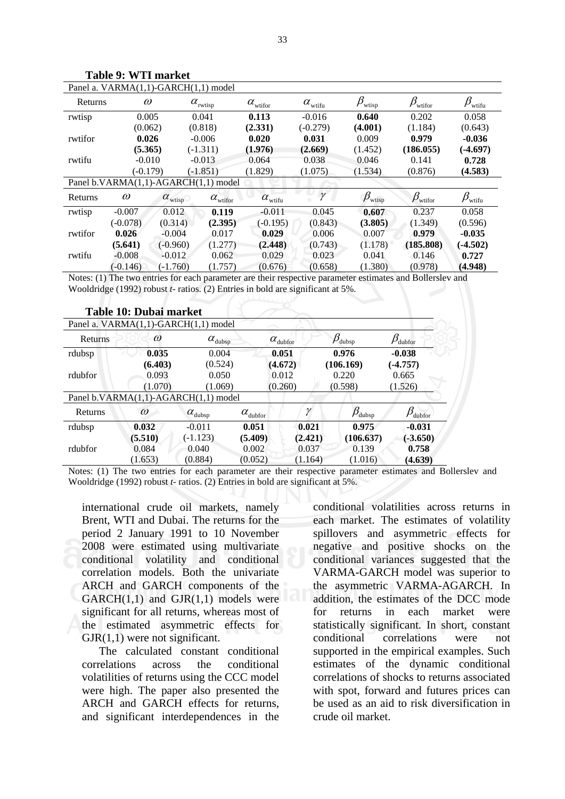| Panel a. VARMA(1,1)-GARCH(1,1) model |            |                      |                           |                       |                     |                        |                         |                        |  |
|--------------------------------------|------------|----------------------|---------------------------|-----------------------|---------------------|------------------------|-------------------------|------------------------|--|
| Returns                              | $\omega$   |                      | $\alpha_{_{\rm{rwtisp}}}$ | $\alpha_{\rm{wifor}}$ | $\alpha_{\rm with}$ | $\beta_{\text{wtisp}}$ | $\beta_{\text{wiifor}}$ | $\beta_{\text{wtifu}}$ |  |
| rwtisp                               | 0.005      |                      | 0.041                     | 0.113                 | $-0.016$            | 0.640                  | 0.202                   | 0.058                  |  |
|                                      | (0.062)    |                      | (0.818)                   | (2.331)               | $(-0.279)$          | (4.001)                | (1.184)                 | (0.643)                |  |
| rwtifor                              | 0.026      |                      | $-0.006$                  | 0.020                 | 0.031               | 0.009                  | 0.979                   | $-0.036$               |  |
|                                      | (5.365)    |                      | $(-1.311)$                | (1.976)               | (2.669)             | (1.452)                | (186.055)               | $(-4.697)$             |  |
| rwtifu                               | $-0.010$   |                      | $-0.013$                  | 0.064                 | 0.038               | 0.046                  | 0.141                   | 0.728                  |  |
|                                      | $(-0.179)$ |                      | $(-1.851)$                | (1.829)               | (1.075)             | (1.534)                | (0.876)                 | (4.583)                |  |
| Panel b.VARMA(1,1)-AGARCH(1,1) model |            |                      |                           |                       |                     |                        |                         |                        |  |
| Returns                              | $\omega$   | $\alpha_{\rm wtiny}$ | $\alpha_{\rm wtifor}^{}$  | $\alpha_{\rm{wtifu}}$ | $\gamma$            | $\beta_{\text{wtisp}}$ | $\beta_{\text{wiifor}}$ | $\beta_{\text{wtifu}}$ |  |
| rwtisp                               | $-0.007$   | 0.012                | 0.119                     | $-0.011$              | 0.045               | 0.607                  | 0.237                   | 0.058                  |  |
|                                      | $(-0.078)$ | (0.314)              | (2.395)                   | $(-0.195)$            | (0.843)             | (3.805)                | (1.349)                 | (0.596)                |  |
| rwtifor                              | 0.026      | $-0.004$             | 0.017                     | 0.029                 | 0.006               | 0.007                  | 0.979                   | $-0.035$               |  |
|                                      | (5.641)    | $(-0.960)$           | (1.277)                   | (2.448)               | (0.743)             | (1.178)                | (185.808)               | $(-4.502)$             |  |
| rwtifu                               | $-0.008$   | $-0.012$             | 0.062                     | 0.029                 | 0.023               | 0.041                  | 0.146                   | 0.727                  |  |
|                                      | $(-0.146)$ | $(-1.760)$           | (1.757)                   | (0.676)               | (0.658)             | (1.380)                | (0.978)                 | (4.948)                |  |

**Table 9: WTI market** 

Notes: (1) The two entries for each parameter are their respective parameter estimates and Bollerslev and Wooldridge (1992) robust *t*- ratios. (2) Entries in bold are significant at 5%.

|                                      | Table 10: Dubai market |                                      |                          |                          |                               |                         |  |
|--------------------------------------|------------------------|--------------------------------------|--------------------------|--------------------------|-------------------------------|-------------------------|--|
|                                      |                        | Panel a. VARMA(1,1)-GARCH(1,1) model |                          |                          |                               |                         |  |
| $\omega$<br>Returns                  |                        | $\alpha_{\text{dubsp}}$              |                          | $\alpha_{\text{dubfor}}$ | $\beta_{\tiny{\text{dubsp}}}$ | $\beta_{\text{dubfor}}$ |  |
| rdubsp                               | 0.035                  | 0.004                                |                          | 0.051                    | 0.976                         | $-0.038$                |  |
|                                      | (6.403)<br>(0.524)     |                                      | (4.672)                  |                          | (106.169)                     | $(-4.757)$              |  |
| rdubfor                              | 0.093                  | 0.050                                |                          | 0.012                    | 0.220                         | 0.665                   |  |
|                                      | (1.070)                | (1.069)                              | (0.260)                  |                          | (0.598)                       | (1.526)                 |  |
| Panel b.VARMA(1,1)-AGARCH(1,1) model |                        |                                      |                          |                          |                               |                         |  |
| Returns                              | $\omega$               | $\alpha_{\mathrm{dubsp}}$            | $\alpha_{\text{dubfor}}$ | γ                        | $\beta_{\text{dubsp}}$        | $\beta_{\text{dubfor}}$ |  |
| rdubsp                               | 0.032                  | $-0.011$                             | 0.051                    | 0.021                    | 0.975                         | $-0.031$                |  |
|                                      | (5.510)                | $(-1.123)$                           | (5.409)                  | (2.421)                  | (106.637)                     | $(-3.650)$              |  |
| rdubfor                              | 0.084                  | 0.040                                | 0.002                    | 0.037                    | 0.139                         | 0.758                   |  |
|                                      | (1.653)                | (0.884)                              | (0.052)                  | (1.164)                  | (1.016)                       | (4.639)                 |  |

Notes: (1) The two entries for each parameter are their respective parameter estimates and Bollerslev and Wooldridge (1992) robust *t*- ratios. (2) Entries in bold are significant at 5%.

international crude oil markets, namely Brent, WTI and Dubai. The returns for the period 2 January 1991 to 10 November 2008 were estimated using multivariate conditional volatility and conditional correlation models. Both the univariate ARCH and GARCH components of the  $GARCH(1,1)$  and  $GJR(1,1)$  models were significant for all returns, whereas most of the estimated asymmetric effects for  $GJR(1,1)$  were not significant.

 The calculated constant conditional correlations across the conditional volatilities of returns using the CCC model were high. The paper also presented the ARCH and GARCH effects for returns, and significant interdependences in the

conditional volatilities across returns in each market. The estimates of volatility spillovers and asymmetric effects for negative and positive shocks on the conditional variances suggested that the VARMA-GARCH model was superior to the asymmetric VARMA-AGARCH. In addition, the estimates of the DCC mode for returns in each market were statistically significant. In short, constant conditional correlations were not supported in the empirical examples. Such estimates of the dynamic conditional correlations of shocks to returns associated with spot, forward and futures prices can be used as an aid to risk diversification in crude oil market.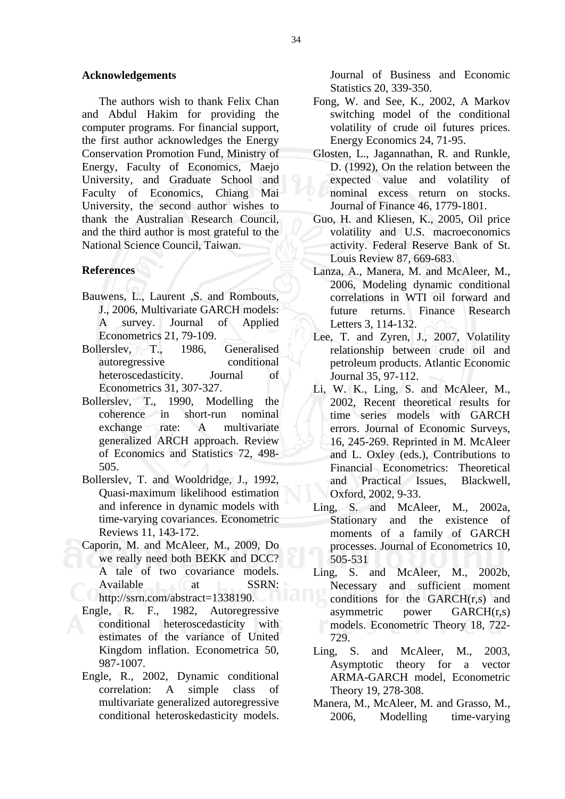#### **Acknowledgements**

The authors wish to thank Felix Chan and Abdul Hakim for providing the computer programs. For financial support, the first author acknowledges the Energy Conservation Promotion Fund, Ministry of Energy, Faculty of Economics, Maejo University, and Graduate School and Faculty of Economics, Chiang Mai University, the second author wishes to thank the Australian Research Council, and the third author is most grateful to the National Science Council, Taiwan.

### **References**

- Bauwens, L., Laurent ,S. and Rombouts, J., 2006, Multivariate GARCH models: A survey. Journal of Applied Econometrics 21, 79-109.
- Bollerslev, T., 1986, Generalised autoregressive conditional heteroscedasticity. Journal of Econometrics 31, 307-327.
- Bollerslev, T., 1990, Modelling the coherence in short-run nominal exchange rate: A multivariate generalized ARCH approach. Review of Economics and Statistics 72, 498- 505.
- Bollerslev, T. and Wooldridge, J., 1992, Quasi-maximum likelihood estimation and inference in dynamic models with time-varying covariances. Econometric Reviews 11, 143-172.
- Caporin, M. and McAleer, M., 2009, Do we really need both BEKK and DCC? A tale of two covariance models. Available at SSRN: http://ssrn.com/abstract=1338190.
- Engle, R. F., 1982, Autoregressive conditional heteroscedasticity with estimates of the variance of United Kingdom inflation. Econometrica 50, 987-1007.
- Engle, R., 2002, Dynamic conditional correlation: A simple class of multivariate generalized autoregressive conditional heteroskedasticity models.

Journal of Business and Economic Statistics 20, 339-350.

- Fong, W. and See, K., 2002, A Markov switching model of the conditional volatility of crude oil futures prices. Energy Economics 24, 71-95.
- Glosten, L., Jagannathan, R. and Runkle, D. (1992), On the relation between the expected value and volatility of nominal excess return on stocks. Journal of Finance 46, 1779-1801.
- Guo, H. and Kliesen, K., 2005, Oil price volatility and U.S. macroeconomics activity. Federal Reserve Bank of St. Louis Review 87, 669-683.
- Lanza, A., Manera, M. and McAleer, M., 2006, Modeling dynamic conditional correlations in WTI oil forward and future returns. Finance Research Letters 3, 114-132.
- Lee, T. and Zyren, J., 2007, Volatility relationship between crude oil and petroleum products. Atlantic Economic Journal 35, 97-112.
- Li, W. K., Ling, S. and McAleer, M., 2002, Recent theoretical results for time series models with GARCH errors. Journal of Economic Surveys, 16, 245-269. Reprinted in M. McAleer and L. Oxley (eds.), Contributions to Financial Econometrics: Theoretical and Practical Issues, Blackwell, Oxford, 2002, 9-33.
- Ling, S. and McAleer, M., 2002a, Stationary and the existence of moments of a family of GARCH processes. Journal of Econometrics 10, 505-531
- Ling, S. and McAleer, M., 2002b, Necessary and sufficient moment conditions for the GARCH(r,s) and asymmetric power GARCH(r,s) models. Econometric Theory 18, 722- 729.
- Ling, S. and McAleer, M., 2003. Asymptotic theory for a vector ARMA-GARCH model, Econometric Theory 19, 278-308.
- Manera, M., McAleer, M. and Grasso, M., 2006, Modelling time-varying